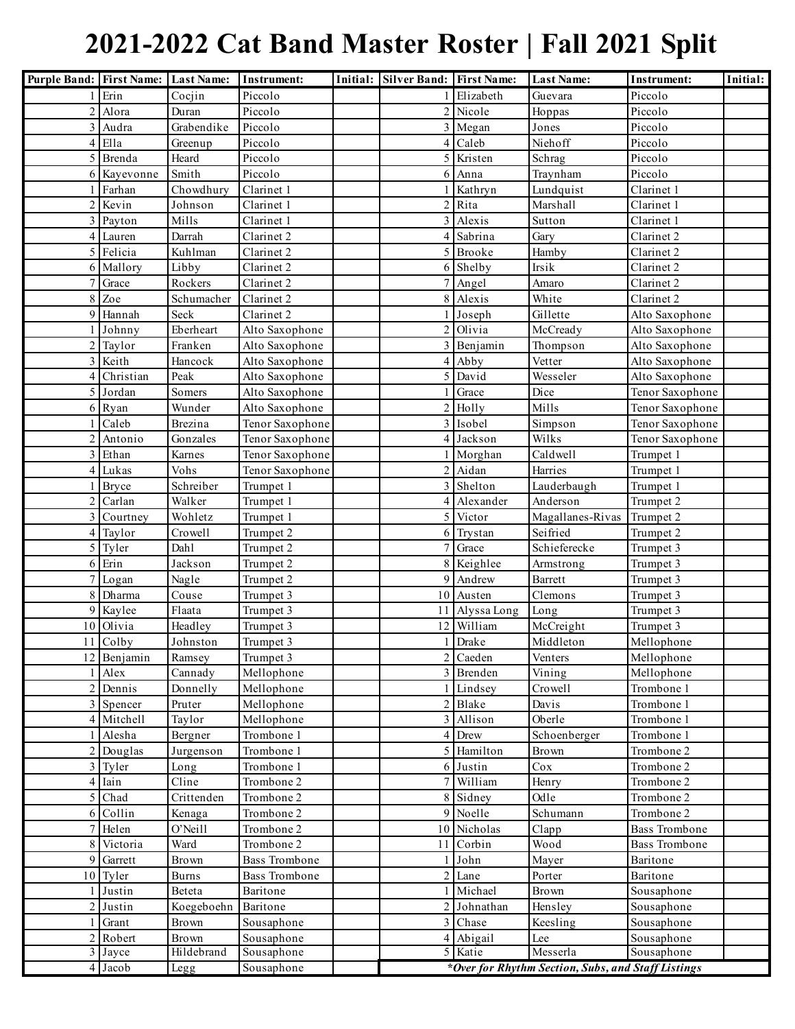## **2021-2022 Cat Band Master Roster | Fall 2021 Split**

| Purple Band: First Name: Last Name: |              |            | <b>Instrument:</b>   | Initial: Silver Band: First Name: |             | <b>Last Name:</b>                                  | Instrument:          | Initial: |
|-------------------------------------|--------------|------------|----------------------|-----------------------------------|-------------|----------------------------------------------------|----------------------|----------|
|                                     | Erin         | Cocjin     | Piccolo              |                                   | Elizabeth   | Guevara                                            | Piccolo              |          |
| $\overline{2}$                      | Alora        | Duran      | Piccolo              | $\overline{2}$                    | Nicole      | Hoppas                                             | Piccolo              |          |
| 3                                   | Audra        | Grabendike | Piccolo              | 3                                 | Megan       | Jones                                              | Piccolo              |          |
| 4                                   | Ella         | Greenup    | Piccolo              | 4                                 | Caleb       | Niehoff                                            | Piccolo              |          |
|                                     | Brenda       | Heard      | Piccolo              | 5                                 | Kristen     | Schrag                                             | Piccolo              |          |
| 6                                   | Kayevonne    | Smith      | Piccolo              | 6                                 | Anna        | Traynham                                           | Piccolo              |          |
|                                     | Farhan       | Chowdhury  | Clarinet 1           |                                   | Kathryn     | Lundquist                                          | Clarinet 1           |          |
| $\overline{2}$                      | Kevin        | Johnson    | Clarinet 1           | 2                                 | Rita        | Marshall                                           | Clarinet 1           |          |
| 3                                   | Payton       | Mills      | Clarinet 1           | 3                                 | Alexis      | Sutton                                             | Clarinet 1           |          |
| 4                                   | Lauren       | Darrah     | Clarinet 2           | 4                                 | Sabrina     | Gary                                               | Clarinet 2           |          |
| 5                                   | Felicia      | Kuhlman    | Clarinet 2           | 5                                 | Brooke      | Hamby                                              | Clarinet 2           |          |
| 6                                   | Mallory      | Libby      | Clarinet 2           | 6                                 | Shelby      | Irsik                                              | Clarinet 2           |          |
|                                     | Grace        | Rockers    | Clarinet 2           | 7                                 | Angel       | Amaro                                              | Clarinet 2           |          |
| 8                                   | Zoe          | Schumacher | Clarinet 2           | 8                                 | Alexis      | White                                              | Clarinet 2           |          |
| q                                   | Hannah       | Seck       | Clarinet 2           |                                   | Joseph      | Gillette                                           | Alto Saxophone       |          |
|                                     | Johnny       | Eberheart  | Alto Saxophone       | 2                                 | Olivia      | McCready                                           | Alto Saxophone       |          |
| $\overline{2}$                      | Taylor       | Franken    | Alto Saxophone       | 3                                 | Benjamin    | Thompson                                           | Alto Saxophone       |          |
| 3                                   | Keith        | Hancock    | Alto Saxophone       | 4                                 | Abby        | Vetter                                             | Alto Saxophone       |          |
| 4                                   | Christian    | Peak       | Alto Saxophone       | 5                                 | David       | Wesseler                                           | Alto Saxophone       |          |
|                                     | Jordan       | Somers     | Alto Saxophone       |                                   | Grace       | Dice                                               | Tenor Saxophone      |          |
| 6                                   | Ryan         | Wunder     | Alto Saxophone       | $\overline{2}$                    | Holly       | Mills                                              | Tenor Saxophone      |          |
|                                     | Caleb        | Brezina    | Tenor Saxophone      | 3                                 | Isobel      | Simpson                                            | Tenor Saxophone      |          |
| $\overline{2}$                      | Antonio      | Gonzales   | Tenor Saxophone      | 4                                 | Jackson     | Wilks                                              | Tenor Saxophone      |          |
| 3                                   | Ethan        | Karnes     | Tenor Saxophone      |                                   | Morghan     | Caldwell                                           | Trumpet 1            |          |
|                                     | Lukas        | Vohs       | Tenor Saxophone      | 2                                 | Aidan       | Harries                                            | Trumpet 1            |          |
|                                     | <b>Bryce</b> | Schreiber  | Trumpet 1            | 3                                 | Shelton     | Lauderbaugh                                        | Trumpet 1            |          |
| 2                                   | Carlan       | Walker     | Trumpet 1            | 4                                 | Alexander   | Anderson                                           | Trumpet 2            |          |
| 3                                   | Courtney     | Wohletz    | Trumpet 1            | 5                                 | Victor      | Magallanes-Rivas                                   | Trumpet 2            |          |
| 4                                   | Taylor       | Crowell    | Trumpet 2            | 6                                 | Trystan     | Seifried                                           | Trumpet 2            |          |
| 5                                   | Tyler        | Dahl       | Trumpet 2            | 7                                 | Grace       | Schieferecke                                       | Trumpet 3            |          |
| 6                                   | Erin         | Jackson    | Trumpet 2            | 8                                 | Keighlee    | Armstrong                                          | Trumpet 3            |          |
|                                     | Logan        | Nagle      | Trumpet 2            | 9                                 | Andrew      | Barrett                                            | Trumpet 3            |          |
| 8                                   | Dharma       | Couse      | Trumpet 3            | 10                                | Austen      | Clemons                                            | Trumpet 3            |          |
| 9                                   | Kaylee       | Flaata     | Trumpet 3            | 11                                | Alyssa Long | Long                                               | Trumpet 3            |          |
| 10                                  | Olivia       | Headley    | Trumpet 3            | 12                                | William     | McCreight                                          | Trumpet 3            |          |
| 11                                  | Colby        | Johnston   | Trumpet 3            |                                   | Drake       | Middleton                                          | Mellophone           |          |
|                                     | 12 Benjamin  | Ramsey     | Trumpet 3            |                                   | 2 Caeden    | Venters                                            | Mellophone           |          |
|                                     | Alex         | Cannady    | Mellophone           |                                   | 3 Brenden   | Vining                                             | Mellophone           |          |
| $\overline{2}$                      | Dennis       | Donnelly   | Mellophone           |                                   | Lindsey     | Crowell                                            | Trombone 1           |          |
| 3                                   | Spencer      | Pruter     | Mellophone           |                                   | 2 Blake     | Davis                                              | Trombone 1           |          |
| 4                                   | Mitchell     | Taylor     | Mellophone           | $\mathfrak{Z}$                    | Allison     | Oberle                                             | Trombone 1           |          |
|                                     | Alesha       | Bergner    | Trombone 1           | 4                                 | Drew        | Schoenberger                                       | Trombone 1           |          |
| $\overline{2}$                      | Douglas      | Jurgenson  | Trombone 1           | 5                                 | Hamilton    | Brown                                              | Trombone 2           |          |
| 3                                   | Tyler        | Long       | Trombone 1           | 6                                 | Justin      | Cox                                                | Trombone 2           |          |
| 4                                   | Iain         | Cline      | Trombone 2           | 7                                 | William     | Henry                                              | Trombone 2           |          |
| 5                                   | Chad         | Crittenden | Trombone 2           | 8                                 | Sidney      | Odle                                               | Trombone 2           |          |
| 6                                   | Collin       | Kenaga     | Trombone 2           | 9                                 | Noelle      | Schumann                                           | Trombone 2           |          |
|                                     | Helen        | O'Neill    | Trombone 2           | 10                                | Nicholas    | Clapp                                              | <b>Bass Trombone</b> |          |
| 8                                   | Victoria     | Ward       | Trombone 2           | 11                                | Corbin      | Wood                                               | <b>Bass Trombone</b> |          |
| 9                                   | Garrett      | Brown      | <b>Bass Trombone</b> | 1                                 | John        | Mayer                                              | Baritone             |          |
| 10                                  | Tyler        | Burns      | <b>Bass Trombone</b> | $\overline{2}$                    | Lane        | Porter                                             | Baritone             |          |
|                                     | Justin       | Beteta     | Baritone             |                                   | Michael     | Brown                                              | Sousaphone           |          |
| $\overline{2}$                      | Justin       | Koegeboehn | Baritone             |                                   | Johnathan   | Hensley                                            | Sousaphone           |          |
|                                     | Grant        | Brown      | Sousaphone           | 3                                 | Chase       | Keesling                                           | Sousaphone           |          |
| $\overline{2}$                      | Robert       | Brown      | Sousaphone           | 4                                 | Abigail     | Lee                                                | Sousaphone           |          |
| 3                                   | Jayce        | Hildebrand | Sousaphone           |                                   | 5 Katie     | Messerla                                           | Sousaphone           |          |
|                                     | 4 Jacob      | Legg       | Sousaphone           |                                   |             | *Over for Rhythm Section, Subs, and Staff Listings |                      |          |